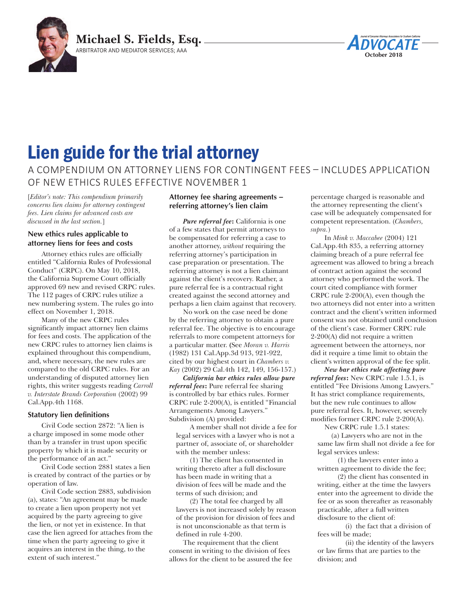

# **October 2018**

# Lien guide for the trial attorney

A COMPENDIUM ON ATTORNEY LIENS FOR CONTINGENT FEES – INCLUDES APPLICATION OF NEW ETHICS RULES EFFECTIVE NOVEMBER 1

[*Editor's note: This compendium primarily concerns lien claims for attorney contingent fees. Lien claims for advanced costs are discussed in the last section.*]

# **New ethics rules applicable to attorney liens for fees and costs**

Attorney ethics rules are officially entitled "California Rules of Professional Conduct" (CRPC). On May 10, 2018, the California Supreme Court officially approved 69 new and revised CRPC rules. The 112 pages of CRPC rules utilize a new numbering system. The rules go into effect on November 1, 2018.

Many of the new CRPC rules significantly impact attorney lien claims for fees and costs. The application of the new CRPC rules to attorney lien claims is explained throughout this compendium, and, where necessary, the new rules are compared to the old CRPC rules. For an understanding of disputed attorney lien rights, this writer suggests reading *Carroll v. Interstate Brands Corporation* (2002) 99 Cal.App.4th 1168.

#### **Statutory lien definitions**

Civil Code section 2872: "A lien is a charge imposed in some mode other than by a transfer in trust upon specific property by which it is made security or the performance of an act."

Civil Code section 2881 states a lien is created by contract of the parties or by operation of law.

Civil Code section 2883, subdivision (a), states: "An agreement may be made to create a lien upon property not yet acquired by the party agreeing to give the lien, or not yet in existence. In that case the lien agreed for attaches from the time when the party agreeing to give it acquires an interest in the thing, to the extent of such interest."

# **Attorney fee sharing agreements – referring attorney's lien claim**

*Pure referral fee***:** California is one of a few states that permit attorneys to be compensated for referring a case to another attorney, *without* requiring the referring attorney's participation in case preparation or presentation. The referring attorney is not a lien claimant against the client's recovery. Rather, a pure referral fee is a contractual right created against the second attorney and perhaps a lien claim against that recovery.

No work on the case need be done by the referring attorney to obtain a pure referral fee. The objective is to encourage referrals to more competent attorneys for a particular matter. **(**See *Moran v. Harris*  (1982) 131 Cal.App.3d 913, 921-922, cited by our highest court in *Chambers v. Kay* (2002) 29 Cal.4th 142, 149, 156-157.)

*California bar ethics rules allow pure referral fees***:** Pure referral fee sharing is controlled by bar ethics rules. Former CRPC rule 2-200(A), is entitled "Financial Arrangements Among Lawyers." Subdivision (A) provided:

A member shall not divide a fee for legal services with a lawyer who is not a partner of, associate of, or shareholder with the member unless:

(1) The client has consented in writing thereto after a full disclosure has been made in writing that a division of fees will be made and the terms of such division; and

(2) The total fee charged by all lawyers is not increased solely by reason of the provision for division of fees and is not unconscionable as that term is defined in rule 4-200.

The requirement that the client consent in writing to the division of fees allows for the client to be assured the fee

percentage charged is reasonable and the attorney representing the client's case will be adequately compensated for competent representation. (*Chambers, supra.*)

In *Mink v. Maccabee* (2004) 121 Cal.App.4th 835, a referring attorney claiming breach of a pure referral fee agreement was allowed to bring a breach of contract action against the second attorney who performed the work. The court cited compliance with former CRPC rule 2-200(A), even though the two attorneys did not enter into a written contract and the client's written informed consent was not obtained until conclusion of the client's case. Former CRPC rule 2-200(A) did not require a written agreement between the attorneys, nor did it require a time limit to obtain the client's written approval of the fee split.

*New bar ethics rule affecting pure referral fees***:** New CRPC rule 1.5.1, is entitled "Fee Divisions Among Lawyers." It has strict compliance requirements, but the new rule continues to allow pure referral fees. It, however, severely modifies former CRPC rule 2-200(A).

New CRPC rule 1.5.1 states:

(a) Lawyers who are not in the same law firm shall not divide a fee for legal services unless:

(1) the lawyers enter into a written agreement to divide the fee;

(2) the client has consented in writing, either at the time the lawyers enter into the agreement to divide the fee or as soon thereafter as reasonably practicable, after a full written disclosure to the client of:

 (i) the fact that a division of fees will be made;

 (ii) the identity of the lawyers or law firms that are parties to the division; and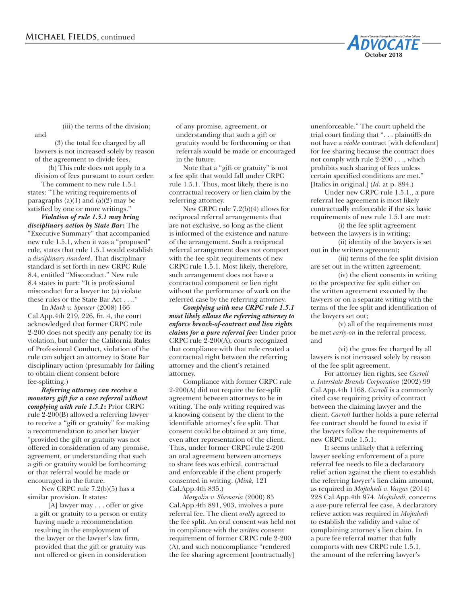(iii) the terms of the division;

(3) the total fee charged by all lawyers is not increased solely by reason of the agreement to divide fees.

and

(b) This rule does not apply to a division of fees pursuant to court order.

The comment to new rule 1.5.1 states: "The writing requirements of paragraphs  $(a)(1)$  and  $(a)(2)$  may be satisfied by one or more writings."

*Violation of rule 1.5.1 may bring disciplinary action by State Bar***:** The "Executive Summary" that accompanied new rule 1.5.1, when it was a "proposed" rule, states that rule 1.5.1 would establish a *disciplinary standard*. That disciplinary standard is set forth in new CRPC Rule 8.4, entitled "Misconduct." New rule 8.4 states in part: "It is professional misconduct for a lawyer to: (a) violate these rules or the State Bar Act . . .."

In *Mark v. Spencer* (2008) 166 Cal.App.4th 219, 226, fn. 4, the court acknowledged that former CRPC rule 2-200 does not specify any penalty for its violation, but under the California Rules of Professional Conduct, violation of the rule can subject an attorney to State Bar disciplinary action (presumably for failing to obtain client consent before fee-splitting.)

*Referring attorney can receive a monetary gift for a case referral without complying with rule 1.5.1***:** Prior CRPC rule 2-200(B) allowed a referring lawyer to receive a "gift or gratuity" for making a recommendation to another lawyer "provided the gift or gratuity was not offered in consideration of any promise, agreement, or understanding that such a gift or gratuity would be forthcoming or that referral would be made or encouraged in the future.

New CRPC rule 7.2(b)(5) has a similar provision. It states:

[A] lawyer may . . . offer or give a gift or gratuity to a person or entity having made a recommendation resulting in the employment of the lawyer or the lawyer's law firm, provided that the gift or gratuity was not offered or given in consideration

of any promise, agreement, or understanding that such a gift or gratuity would be forthcoming or that referrals would be made or encouraged in the future.

Note that a "gift or gratuity" is not a fee split that would fall under CRPC rule 1.5.1. Thus, most likely, there is no contractual recovery or lien claim by the referring attorney.

New CRPC rule 7.2(b)(4) allows for reciprocal referral arrangements that are not exclusive, so long as the client is informed of the existence and nature of the arrangement. Such a reciprocal referral arrangement does not comport with the fee split requirements of new CRPC rule 1.5.1. Most likely, therefore, such arrangement does not have a contractual component or lien right without the performance of work on the referred case by the referring attorney.

*Complying with new CRPC rule 1.5.1 most likely allows the referring attorney to enforce breach-of-contract and lien rights claims for a pure referral fee***:** Under prior CRPC rule 2-200(A), courts recognized that compliance with that rule created a contractual right between the referring attorney and the client's retained attorney.

Compliance with former CRPC rule 2-200(A) did not require the fee-split agreement between attorneys to be in writing. The only writing required was a knowing consent by the client to the identifiable attorney's fee split. That consent could be obtained at any time, even after representation of the client. Thus, under former CRPC rule 2-200 an oral agreement between attorneys to share fees was ethical, contractual and enforceable if the client properly consented in writing. (*Mink,* 121 Cal.App.4th 835.)

*Margolin v. Shemaria* (2000) 85 Cal.App.4th 891, 903, involves a pure referral fee. The client *orally* agreed to the fee split. An oral consent was held not in compliance with the *written* consent requirement of former CRPC rule 2-200 (A), and such noncompliance "rendered the fee sharing agreement [contractually]

unenforceable." The court upheld the trial court finding that ". . . plaintiffs do not have a *viable* contract [with defendant] for fee sharing because the contract does not comply with rule 2-200 . . ., which prohibits such sharing of fees unless certain specified conditions are met." [Italics in original.] (*Id.* at p. 894.)

**October 2018**

Under new CRPC rule 1.5.1., a pure referral fee agreement is most likely contractually enforceable if the six basic requirements of new rule 1.5.1 are met:

(i) the fee split agreement between the lawyers is in writing;

(ii) identity of the lawyers is set out in the written agreement;

(iii) terms of the fee split division are set out in the written agreement;

(iv) the client consents in writing to the prospective fee split either on the written agreement executed by the lawyers or on a separate writing with the terms of the fee split and identification of the lawyers set out;

(v) all of the requirements must be met *early-on* in the referral process; and

(vi) the gross fee charged by all lawyers is not increased solely by reason of the fee split agreement.

For attorney lien rights, see *Carroll v. Interstate Brands Corporation* (2002) 99 Cal.App.4th 1168. *Carroll* is a commonly cited case requiring privity of contract between the claiming lawyer and the client. *Carroll* further holds a pure referral fee contract should be found to exist if the lawyers follow the requirements of new CRPC rule 1.5.1.

It seems unlikely that a referring lawyer seeking enforcement of a pure referral fee needs to file a declaratory relief action against the client to establish the referring lawyer's lien claim amount, as required in *Mojtahedi v. Vargas* (2014) 228 Cal.App.4th 974. *Mojtahedi,* concerns a *non-*pure referral fee case. A declaratory relieve action was required in *Mojtahedi* to establish the validity and value of complaining attorney's lien claim. In a pure fee referral matter that fully comports with new CRPC rule 1.5.1, the amount of the referring lawyer's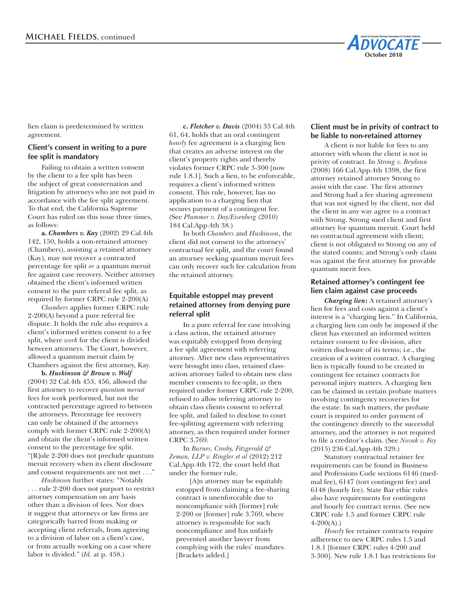

lien claim is predetermined by written agreement.

#### **Client's consent in writing to a pure fee split is mandatory**

Failing to obtain a written consent by the client to a fee split has been the subject of great consternation and litigation by attorneys who are not paid in accordance with the fee split agreement. To that end, the California Supreme Court has ruled on this issue three times, as follows:

**a.** *Chambers v. Kay* (2002) 29 Cal.4th 142, 150, holds a non-retained attorney (Chambers), assisting a retained attorney (Kay), may not recover a contracted percentage fee split *or* a quantum meruit fee against case recovery. Neither attorney obtained the client's informed written consent to the pure referral fee split, as required by former CRPC rule 2-200(A)

*Chambers* applies former CRPC rule 2-200(A) beyond a pure referral fee dispute. It holds the rule also requires a client's informed written consent to a fee split, where *work* for the client is divided between attorneys. The Court, however, allowed a quantum meruit claim by Chambers against the first attorney, Kay.

**b.** *Huskinson & Brown v. Wolf* (2004) 32 Cal.4th 453, 456, allowed the first attorney to recover *quantum meruit* fees for work performed, but not the contracted percentage agreed to between the attorneys. Percentage fee recovery can only be obtained if the attorneys comply with former CRPC rule 2-200(A) and obtain the client's informed written consent to the percentage fee split. "[R]ule 2-200 does not preclude quantum meruit recovery when its client disclosure and consent requirements are not met . . ."

*Huskinson* further states: "Notably . . . rule 2-200 does not purport to restrict attorney compensation on any basis other than a division of fees. Nor does it suggest that attorneys or law firms are categorically barred from making or accepting client referrals, from agreeing to a division of labor on a client's case, or from actually working on a case where labor is divided." (*Id.* at p. 458.)

**c.** *Fletcher v. Davis* (2004) 33 Cal.4th 61, 64, holds that an oral contingent *hourly* fee agreement is a charging lien that creates an adverse interest on the client's property rights and thereby violates former CRPC rule 3-300 [now rule 1.8.1]. Such a lien, to be enforceable, requires a client's informed written consent. This rule, however, has no application to a charging lien that secures payment of a contingent fee. (See *Plummer v. Day/Eisenberg* (2010) 184 Cal.App.4th 38.)

In both *Chambers* and *Huskinson*, the client did not consent to the attorneys' contractual fee split, and the court found an attorney seeking quantum meruit fees can only recover such fee calculation from the retained attorney.

# **Equitable estoppel may prevent retained attorney from denying pure referral split**

In a pure referral fee case involving a class action, the retained attorney was equitably estopped from denying a fee split agreement with referring attorney. After new class representatives were brought into class, retained classaction attorney failed to obtain new class member consents to fee-split, as then required under former CRPC rule 2-200, refused to allow referring attorney to obtain class clients consent to referral fee split, and failed to disclose to court fee-splitting agreement with referring attorney, as then required under former CRPC 3.769.

In *Barnes, Crosby, Fitzgerald & Zeman, LLP v. Ringler et al* (2012) 212 Cal.App.4th 172, the court held that under the former rule,

[A]n attorney may be equitably estopped from claiming a fee-sharing contract is unenforceable due to noncompliance with [former] rule 2-200 or [former] rule 3.769, where attorney is responsible for such noncompliance and has unfairly prevented another lawyer from complying with the rules' mandates. [Brackets added.]

# **Client must be in privity of contract to be liable to non-retained attorney**

A client is not liable for fees to any attorney with whom the client is not in privity of contract. In *Strong v. Beydoun*  (2008) 166 Cal.App.4th 1398, the first attorney retained attorney Strong to assist with the case. The first attorney and Strong had a fee sharing agreement that was not signed by the client, nor did the client in any way agree to a contract with Strong. Strong sued client and first attorney for quantum meruit. Court held no contractual agreement with client; client is not obligated to Strong on any of the stated counts; and Strong's only claim was against the first attorney for provable quantum merit fees.

# **Retained attorney's contingent fee lien claim against case proceeds**

*Charging lien***:** A retained attorney's lien for fees and costs against a client's interest is a "charging lien." In California, a charging lien can only be imposed if the client has executed an informed written retainer consent to fee division, after written disclosure of its terms; i.e., the creation of a written contract. A charging lien is typically found to be created in contingent fee retainer contracts for personal injury matters. A charging lien can be claimed in certain probate matters involving contingency recoveries for the estate. In such matters, the probate court is required to order payment of the contingency directly to the successful attorney, and the attorney is not required to file a creditor's claim. (See *Novak v. Fay*  (2015) 236 Cal.App.4th 329.)

Statutory contractual retainer fee requirements can be found in Business and Professions Code sections 6146 (medmal fee), 6147 (tort contingent fee) and 6148 (hourly fee). State Bar ethic rules also have requirements for contingent and hourly fee contract terms. (See new CRPC rule 1.5 and former CRPC rule 4-200(A).)

*Hourly* fee retainer contracts require adherence to new CRPC rules 1.5 and 1.8.1 [former CRPC rules 4-200 and 3-300]. New rule 1.8.1 has restrictions for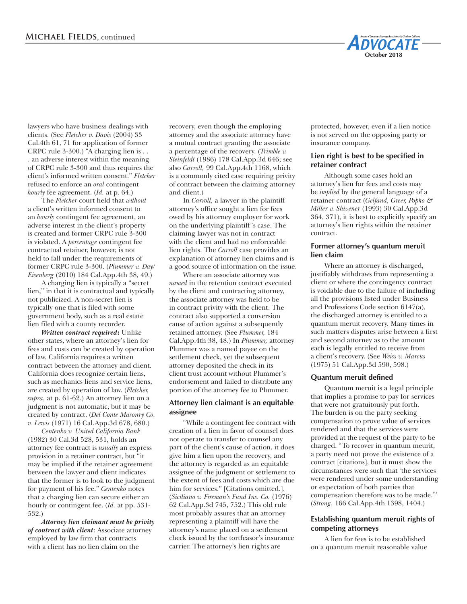lawyers who have business dealings with clients. (See *Fletcher v. Davis* (2004) 33 Cal.4th 61, 71 for application of former CRPC rule 3-300.) "A charging lien is . . . an adverse interest within the meaning of CRPC rule 3-300 and thus requires the client's informed written consent." *Fletcher* refused to enforce an *oral* contingent *hourly* fee agreement. (*Id.* at p. 64.)

The *Fletcher* court held that *without* a client's written informed consent to an *hourly* contingent fee agreement, an adverse interest in the client's property is created and former CRPC rule 3-300 is violated. A *percentage* contingent fee contractual retainer, however, is not held to fall under the requirements of former CRPC rule 3-300. (*Plummer v. Day/ Eisenberg* (2010) 184 Cal.App.4th 38, 49.)

A charging lien is typically a "secret lien," in that it is contractual and typically not publicized. A non-secret lien is typically one that is filed with some government body, such as a real estate lien filed with a county recorder.

*Written contract required***:** Unlike other states, where an attorney's lien for fees and costs can be created by operation of law, California requires a written contract between the attorney and client. California does recognize certain liens, such as mechanics liens and service liens, are created by operation of law. (*Fletcher, supra,* at p. 61-62.) An attorney lien on a judgment is not automatic, but it may be created by contract. (*Del Conte Masonry Co. v. Lewis* (1971) 16 Cal.App.3d 678, 680.)

*Centenko v. United California Bank*  (1982) 30 Cal.3d 528, 531, holds an attorney fee contract is *usually* an express provision in a retainer contract, but "it may be implied if the retainer agreement between the lawyer and client indicates that the former is to look to the judgment for payment of his fee." *Centenko* notes that a charging lien can secure either an hourly or contingent fee. (*Id.* at pp. 531- 532.)

*Attorney lien claimant must be privity of contract with client*: Associate attorney employed by law firm that contracts with a client has no lien claim on the

recovery, even though the employing attorney and the associate attorney have a mutual contract granting the associate a percentage of the recovery. (*Trimble v. Steinfeldt* (1986) 178 Cal.App.3d 646; see also *Carroll,* 99 Cal.App.4th 1168, which is a commonly cited case requiring privity of contract between the claiming attorney and client.)

In *Carroll,* a lawyer in the plaintiff attorney's office sought a lien for fees owed by his attorney employer for work on the underlying plaintiff 's case. The claiming lawyer was not in contract with the client and had no enforceable lien rights. The *Carroll* case provides an explanation of attorney lien claims and is a good source of information on the issue.

Where an associate attorney was *named* in the retention contract executed by the client and contracting attorney, the associate attorney was held to be in contract privity with the client. The contract also supported a conversion cause of action against a subsequently retained attorney. (See *Plummer,* 184 Cal.App.4th 38, 48.) In *Plummer,* attorney Plummer was a named payee on the settlement check, yet the subsequent attorney deposited the check in its client trust account without Plummer's endorsement and failed to distribute any portion of the attorney fee to Plummer.

#### **Attorney lien claimant is an equitable assignee**

"While a contingent fee contract with creation of a lien in favor of counsel does not operate to transfer to counsel any part of the client's cause of action, it does give him a lien upon the recovery, and the attorney is regarded as an equitable assignee of the judgment or settlement to the extent of fees and costs which are due him for services." [Citations omitted.]. (*Siciliano v. Fireman's Fund Ins. Co.* (1976) 62 Cal.App.3d 745, 752.) This old rule most probably assures that an attorney representing a plaintiff will have the attorney's name placed on a settlement check issued by the tortfeasor's insurance carrier. The attorney's lien rights are

protected, however, even if a lien notice is not served on the opposing party or insurance company.

**October 2018**

**DVOCATE** 

# **Lien right is best to be specified in retainer contract**

Although some cases hold an attorney's lien for fees and costs may be *implied* by the general language of a retainer contract (*Gelfand, Greer, Popko & Miller v. Shivener* (1993) 30 Cal.App.3d 364, 371), it is best to explicitly specify an attorney's lien rights within the retainer contract.

#### **Former attorney's quantum meruit lien claim**

Where an attorney is discharged, justifiably withdraws from representing a client or where the contingency contract is voidable due to the failure of including all the provisions listed under Business and Professions Code section 6147(a), the discharged attorney is entitled to a quantum meruit recovery. Many times in such matters disputes arise between a first and second attorney as to the amount each is legally entitled to receive from a client's recovery. (See *Weiss v. Marcus* (1975) 51 Cal.App.3d 590, 598.)

#### **Quantum meruit defined**

Quantum meruit is a legal principle that implies a promise to pay for services that were not gratuitously put forth. The burden is on the party seeking compensation to prove value of services rendered and that the services were provided at the request of the party to be charged. "To recover in quantum meurit, a party need not prove the existence of a contract [citations], but it must show the circumstances were such that 'the services were rendered under some understanding or expectation of both parties that compensation therefore was to be made."' (*Strong,* 166 Cal.App.4th 1398, 1404.)

# **Establishing quantum meruit rights of competing attorneys**

A lien for fees is to be established on a quantum meruit reasonable value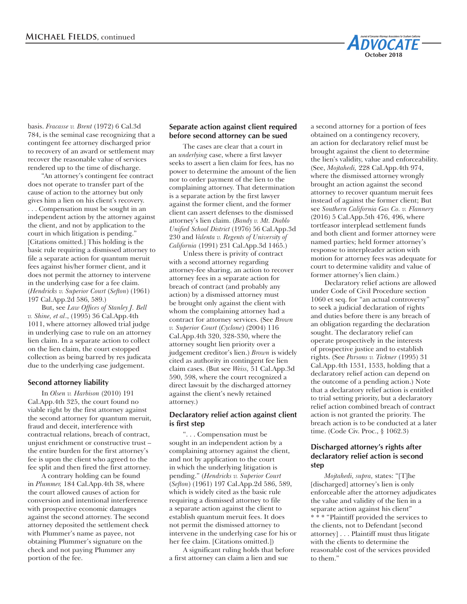

basis. *Fracasse v. Brent* (1972) 6 Cal.3d 784, is the seminal case recognizing that a contingent fee attorney discharged prior to recovery of an award or settlement may recover the reasonable value of services rendered up to the time of discharge.

"An attorney's contingent fee contract does not operate to transfer part of the cause of action to the attorney but only gives him a lien on his client's recovery. . . . Compensation must be sought in an independent action by the attorney against the client, and not by application to the court in which litigation is pending." [Citations omitted.] This holding is the basic rule requiring a dismissed attorney to file a separate action for quantum meruit fees against his/her former client, and it does not permit the attorney to intervene in the underlying case for a fee claim. (*Hendricks v. Superior Court* (*Sefton*) (1961) 197 Cal.App.2d 586, 589.)

But, see *Law Offices of Stanley J. Bell v. Shine, et al*., (1995) 36 Cal.App.4th 1011, where attorney allowed trial judge in underlying case to rule on an attorney lien claim. In a separate action to collect on the lien claim, the court estopped collection as being barred by res judicata due to the underlying case judgement.

#### **Second attorney liability**

In *Olsen v. Harbison* (2010) 191 Cal.App.4th 325, the court found no viable right by the first attorney against the second attorney for quantum meruit, fraud and deceit, interference with contractual relations, breach of contract, unjust enrichment or constructive trust – the entire burden for the first attorney's fee is upon the client who agreed to the fee split and then fired the first attorney.

A contrary holding can be found in *Plummer,* 184 Cal.App.4th 38, where the court allowed causes of action for conversion and intentional interference with prospective economic damages against the second attorney. The second attorney deposited the settlement check with Plummer's name as payee, not obtaining Plummer's signature on the check and not paying Plummer any portion of the fee.

#### **Separate action against client required before second attorney can be sued**

The cases are clear that a court in an *underlying* case, where a first lawyer seeks to assert a lien claim for fees, has no power to determine the amount of the lien nor to order payment of the lien to the complaining attorney. That determination is a separate action by the first lawyer against the former client, and the former client can assert defenses to the dismissed attorney's lien claim. (*Bandy v. Mt. Diablo Unified School District* (1976) 56 Cal.App.3d 230 and *Valenta v. Regents of University of California* (1991) 231 Cal.App.3d 1465.)

Unless there is privity of contract with a second attorney regarding attorney-fee sharing, an action to recover attorney fees in a separate action for breach of contract (and probably any action) by a dismissed attorney must be brought only against the client with whom the complaining attorney had a contract for attorney services. (See *Brown v. Superior Court* (*Cyclone*) (2004) 116 Cal.App.4th 320, 328-330, where the attorney sought lien priority over a judgement creditor's lien.) *Brown* is widely cited as authority in contingent fee lien claim cases. (But see *Weiss,* 51 Cal.App.3d 590, 598, where the court recognized a direct lawsuit by the discharged attorney against the client's newly retained attorney.)

# **Declaratory relief action against client is first step**

". . . Compensation must be sought in an independent action by a complaining attorney against the client, and not by application to the court in which the underlying litigation is pending." (*Hendricks v. Superior Court*  (*Sefton*) (1961) 197 Cal.App.2d 586, 589, which is widely cited as the basic rule requiring a dismissed attorney to file a separate action against the client to establish quantum meruit fees. It does not permit the dismissed attorney to intervene in the underlying case for his or her fee claim. [Citations omitted.])

A significant ruling holds that before a first attorney can claim a lien and sue

a second attorney for a portion of fees obtained on a contingency recovery, an action for declaratory relief must be brought against the client to determine the lien's validity, value and enforceability. (See, *Mojtahedi,* 228 Cal.App.4th 974, where the dismissed attorney wrongly brought an action against the second attorney to recover quantum meruit fees instead of against the former client; But see *Southern California Gas Co. v. Flannery*  (2016) 5 Cal.App.5th 476, 496, where tortfeasor interplead settlement funds and both client and former attorney were named parties; held former attorney's response to interpleader action with motion for attorney fees was adequate for court to determine validity and value of former attorney's lien claim.)

Declaratory relief actions are allowed under Code of Civil Procedure section 1060 et seq. for "an actual controversy" to seek a judicial declaration of rights and duties before there is any breach of an obligation regarding the declaration sought. The declaratory relief can operate prospectively in the interests of prospective justice and to establish rights. (See *Parsons v. Tickner* (1995) 31 Cal.App.4th 1531, 1533, holding that a declaratory relief action can depend on the outcome of a pending action.) Note that a declaratory relief action is entitled to trial setting priority, but a declaratory relief action combined breach of contract action is not granted the priority. The breach action is to be conducted at a later time. (Code Civ. Proc., § 1062.3)

# **Discharged attorney's rights after declaratory relief action is second step**

*Mojtahedi, supra,* states: "[T]he [discharged] attorney's lien is only enforceable after the attorney adjudicates the value and validity of the lien in a separate action against his client" \* \* \* "Plaintiff provided the services to the clients, not to Defendant [second attorney] . . . Plaintiff must thus litigate with the clients to determine the reasonable cost of the services provided to them."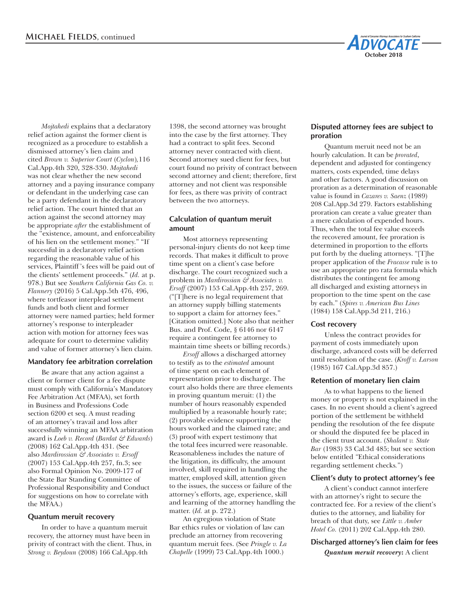

*Mojtahedi* explains that a declaratory relief action against the former client is recognized as a procedure to establish a dismissed attorney's lien claim and cited *Brown v. Superior Court* (*Cyclon*)*,*116 Cal.App.4th 320, 328-330. *Mojtahedi*  was not clear whether the new second attorney and a paying insurance company or defendant in the underlying case can be a party defendant in the declaratory relief action. The court hinted that an action against the second attorney may be appropriate *after* the establishment of the "existence, amount, and enforceability of his lien on the settlement money." "If successful in a declaratory relief action regarding the reasonable value of his services, Plaintiff 's fees will be paid out of the clients' settlement proceeds." (*Id.* at p. 978.) But see *Southern California Gas Co. v. Flannery* (2016) 5 Cal.App.5th 476, 496, where tortfeasor interplead settlement funds and both client and former attorney were named parties; held former attorney's response to interpleader action with motion for attorney fees was adequate for court to determine validity and value of former attorney's lien claim.

#### **Mandatory fee arbitration correlation**

Be aware that any action against a client or former client for a fee dispute must comply with California's Mandatory Fee Arbitration Act (MFAA), set forth in Business and Professions Code section 6200 et seq. A must reading of an attorney's travail and loss after successfully winning an MFAA arbitration award is *Loeb v. Record* (*Bardat & Edwards*) (2008) 162 Cal.App.4th 431. (See also *Mardirossian & Associates v. Ersoff*  (2007) 153 Cal.App.4th 257, fn.3; see also Formal Opinion No. 2009-177 of the State Bar Standing Committee of Professional Responsibility and Conduct for suggestions on how to correlate with the MFAA.)

#### **Quantum meruit recovery**

In order to have a quantum meruit recovery, the attorney must have been in privity of contract with the client. Thus, in *Strong v. Beydoun* (2008) 166 Cal.App.4th

1398, the second attorney was brought into the case by the first attorney. They had a contract to split fees. Second attorney never contracted with client. Second attorney sued client for fees, but court found no privity of contract between second attorney and client; therefore, first attorney and not client was responsible for fees, as there was privity of contract between the two attorneys.

# **Calculation of quantum meruit amount**

Most attorneys representing personal-injury clients do not keep time records. That makes it difficult to prove time spent on a client's case before discharge. The court recognized such a problem in *Mardirossian & Associates v. Ersoff* (2007) 153 Cal.App.4th 257, 269. ("[T]here is no legal requirement that an attorney supply billing statements to support a claim for attorney fees." [Citation omitted.] Note also that neither Bus. and Prof. Code, § 6146 nor 6147 require a contingent fee attorney to maintain time sheets or billing records.)

*Ersoff* allows a discharged attorney to testify as to the *estimated* amount of time spent on each element of representation prior to discharge. The court also holds there are three elements in proving quantum meruit: (1) the number of hours reasonably expended multiplied by a reasonable hourly rate; (2) provable evidence supporting the hours worked and the claimed rate; and (3) proof with expert testimony that the total fees incurred were reasonable. Reasonableness includes the nature of the litigation, its difficulty, the amount involved, skill required in handling the matter, employed skill, attention given to the issues, the success or failure of the attorney's efforts, age, experience, skill and learning of the attorney handling the matter. (*Id.* at p. 272.)

An egregious violation of State Bar ethics rules or violation of law can preclude an attorney from recovering quantum meruit fees. (See *Pringle v. La Chapelle* (1999) 73 Cal.App.4th 1000.)

# **Disputed attorney fees are subject to proration**

Quantum meruit need not be an hourly calculation. It can be *prorated*, dependent and adjusted for contingency matters, costs expended, time delays and other factors. A good discussion on proration as a determination of reasonable value is found in *Cazares v. Saenz* (1989) 208 Cal.App.3d 279. Factors establishing proration can create a value greater than a mere calculation of expended hours. Thus, when the total fee value exceeds the recovered amount, fee proration is determined in proportion to the efforts put forth by the dueling attorneys. "[T]he proper application of the *Fracasse* rule is to use an appropriate pro rata formula which distributes the contingent fee among all discharged and existing attorneys in proportion to the time spent on the case by each." (*Spires v. American Bus Lines*  (1984) 158 Cal.App.3d 211, 216.)

# **Cost recovery**

Unless the contract provides for payment of costs immediately upon discharge, advanced costs will be deferred until resolution of the case. (*Kroff v. Larson*  (1985) 167 Cal.App.3d 857.)

#### **Retention of monetary lien claim**

As to what happens to the liened money or property is not explained in the cases. In no event should a client's agreed portion of the settlement be withheld pending the resolution of the fee dispute or should the disputed fee be placed in the client trust account. (*Shalant v. State Bar* (1983) 33 Cal.3d 485; but see section below entitled *"*Ethical considerations regarding settlement checks*.*")

# **Client's duty to protect attorney's fee**

A client's conduct cannot interfere with an attorney's right to secure the contracted fee. For a review of the client's duties to the attorney, and liability for breach of that duty, see *Little v. Amber Hotel Co.* (2011) 202 Cal.App.4th 280.

# **Discharged attorney's lien claim for fees**

*Quantum meruit recovery***:** A client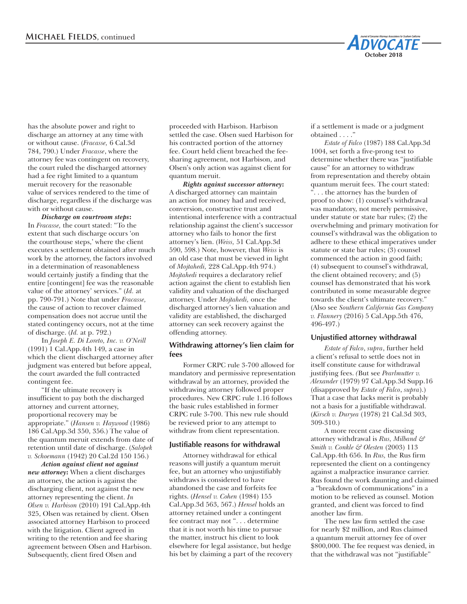

*Discharge on courtroom steps***:**  In *Fracasse,* the court stated: "To the extent that such discharge occurs 'on the courthouse steps,' where the client executes a settlement obtained after much work by the attorney, the factors involved in a determination of reasonableness would certainly justify a finding that the entire [contingent] fee was the reasonable value of the attorney' services." (*Id.* at pp. 790-791.) Note that under *Fracasse,* the cause of action to recover claimed compensation does not accrue until the stated contingency occurs, not at the time of discharge. (*Id.* at p. 792.)

In *Joseph E. Di Loreto, Inc. v. O'Neill* (1991) 1 Cal.App.4th 149, a case in which the client discharged attorney after judgment was entered but before appeal, the court awarded the full contracted contingent fee.

"If the ultimate recovery is insufficient to pay both the discharged attorney and current attorney, proportional recovery may be appropriate." (*Hansen v. Haywood* (1986) 186 Cal.App.3d 350, 356.) The value of the quantum meruit extends from date of retention until date of discharge. (*Salopek v. Schoemann* (1942) 20 Cal.2d 150 156.)

*Action against client not against new attorney***:** When a client discharges an attorney, the action is against the discharging client, not against the new attorney representing the client. *In Olsen v. Harbison* (2010) 191 Cal.App.4th 325, Olsen was retained by client. Olsen associated attorney Harbison to proceed with the litigation. Client agreed in writing to the retention and fee sharing agreement between Olsen and Harbison. Subsequently, client fired Olsen and

proceeded with Harbison. Harbison settled the case. Olsen sued Harbison for his contracted portion of the attorney fee. Court held client breached the feesharing agreement, not Harbison, and Olsen's only action was against client for quantum meruit.

*Rights against successor attorney***:**  A discharged attorney can maintain an action for money had and received, conversion, constructive trust and intentional interference with a contractual relationship against the client's successor attorney who fails to honor the first attorney's lien. (*Weiss,* 51 Cal.App.3d 590, 598.) Note, however, that *Weiss* is an old case that must be viewed in light of *Mojtahedi,* 228 Cal.App.4th 974.) *Mojtahedi* requires a declaratory relief action against the client to establish lien validity and valuation of the discharged attorney. Under *Mojtahedi,* once the discharged attorney's lien valuation and validity are established, the discharged attorney can seek recovery against the offending attorney.

#### **Withdrawing attorney's lien claim for fees**

Former CRPC rule 3-700 allowed for mandatory and permissive representation withdrawal by an attorney, provided the withdrawing attorney followed proper procedures. New CRPC rule 1.16 follows the basic rules established in former CRPC rule 3-700. This new rule should be reviewed prior to any attempt to withdraw from client representation.

#### **Justifiable reasons for withdrawal**

Attorney withdrawal for ethical reasons will justify a quantum meruit fee, but an attorney who unjustifiably withdraws is considered to have abandoned the case and forfeits fee rights. (*Hensel v. Cohen* (1984) 155 Cal.App.3d 563, 567.) *Hensel* holds an attorney retained under a contingent fee contract may not ". . . determine that it is not worth his time to pursue the matter, instruct his client to look elsewhere for legal assistance, but hedge his bet by claiming a part of the recovery if a settlement is made or a judgment obtained . . . ."

**October 2018**

**IDVOCATE** 

*Estate of Falco* (1987) 188 Cal.App.3d 1004, set forth a five-prong test to determine whether there was "justifiable cause" for an attorney to withdraw from representation and thereby obtain quantum meruit fees. The court stated: ... the attorney has the burden of proof to show: (1) counsel's withdrawal was mandatory, not merely permissive, under statute or state bar rules; (2) the overwhelming and primary motivation for counsel's withdrawal was the obligation to adhere to these ethical imperatives under statute or state bar rules; (3) counsel commenced the action in good faith; (4) subsequent to counsel's withdrawal, the client obtained recovery; and (5) counsel has demonstrated that his work contributed in some measurable degree towards the client's ultimate recovery." (Also see *Southern California Gas Company v. Flannery* (2016) 5 Cal.App.5th 476, 496-497.)

# **Unjustified attorney withdrawal**

*Estate of Falco*, *supra*, further held a client's refusal to settle does not in itself constitute cause for withdrawal justifying fees. *(*But see *Pearlmutter v. Alexander* (1979) 97 Cal.App.3d Supp.16 (disapproved by *Estate of Falco*, *supra*).) That a case that lacks merit is probably not a basis for a justifiable withdrawal. (*Kirsch v. Duryea* (1978) 21 Cal.3d 303, 309-310.)

A more recent case discussing attorney withdrawal is *Rus, Milband & Smith v. Conkle & Olesten* (2003) 113 Cal.App.4th 656. In *Rus,* the Rus firm represented the client on a contingency against a malpractice insurance carrier. Rus found the work daunting and claimed a "breakdown of communications" in a motion to be relieved as counsel. Motion granted, and client was forced to find another law firm.

The new law firm settled the case for nearly \$2 million, and Rus claimed a quantum meruit attorney fee of over \$800,000. The fee request was denied, in that the withdrawal was not "justifiable"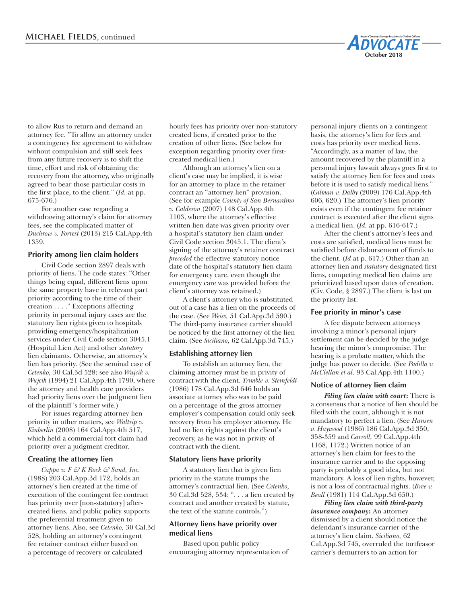to allow Rus to return and demand an attorney fee. "To allow an attorney under a contingency fee agreement to withdraw without compulsion and still seek fees from any future recovery is to shift the time, effort and risk of obtaining the recovery from the attorney, who originally agreed to bear those particular costs in the first place, to the client." (*Id.* at pp. 675-676.)

For another case regarding a withdrawing attorney's claim for attorney fees, see the complicated matter of *Duchrow v. Forrest* (2013) 215 Cal.App.4th 1359.

#### **Priority among lien claim holders**

Civil Code section 2897 deals with priority of liens. The code states: "Other things being equal, different liens upon the same property have in relevant part priority according to the time of their creation . . . ." Exceptions affecting priority in personal injury cases are the statutory lien rights given to hospitals providing emergency/hospitalization services under Civil Code section 3045.1 (Hospital Lien Act) and other *statutory* lien claimants. Otherwise, an attorney's lien has priority. (See the seminal case of *Cetenko,* 30 Cal.3d 528; see also *Wujcik v. Wujcik* (1994) 21 Cal.App.4th 1790, where the attorney and health care providers had priority liens over the judgment lien of the plaintiff 's former wife.)

For issues regarding attorney lien priority in other matters, see *Waltrip v. Kinberlin* (2008) 164 Cal.App.4th 517, which held a commercial tort claim had priority over a judgment creditor.

#### **Creating the attorney lien**

*Cappa v. F & K Rock & Sand, Inc.* (1988) 203 Cal.App.3d 172, holds an attorney's lien created at the time of execution of the contingent fee contract has priority over [non-statutory] aftercreated liens, and public policy supports the preferential treatment given to attorney liens. Also, see *Cetenko,* 30 Cal.3d 528, holding an attorney's contingent fee retainer contract either based on a percentage of recovery or calculated

hourly fees has priority over non-statutory created liens, if created prior to the creation of other liens. (See below for exception regarding priority over firstcreated medical lien.)

Although an attorney's lien on a client's case may be implied, it is wise for an attorney to place in the retainer contract an "attorney lien" provision. (See for example *County of San Bernardino v. Calderon* (2007) 148 Cal.App.4th 1103, where the attorney's effective written lien date was given priority over a hospital's statutory lien claim under Civil Code section 3045.1. The client's signing of the attorney's retainer contract *preceded* the effective statutory notice date of the hospital's statutory lien claim for emergency care, even though the emergency care was provided before the client's attorney was retained.)

A client's attorney who is substituted out of a case has a lien on the proceeds of the case. (See *Weiss,* 51 Cal.App.3d 590.) The third-party insurance carrier should be noticed by the first attorney of the lien claim. (See *Siciliano,* 62 Cal.App.3d 745.)

# **Establishing attorney lien**

To establish an attorney lien, the claiming attorney must be in privity of contract with the client. *Trimble v. Steinfeldt* (1986) 178 Cal.App.3d 646 holds an associate attorney who was to be paid on a percentage of the gross attorney employer's compensation could only seek recovery from his employer attorney. He had no lien rights against the client's recovery, as he was not in privity of contract with the client.

#### **Statutory liens have priority**

A statutory lien that is given lien priority in the statute trumps the attorney's contractual lien. (See *Cetenko,*  30 Cal.3d 528, 534: ". . . a lien created by contract and another created by statute, the text of the statute controls.")

# **Attorney liens have priority over medical liens**

Based upon public policy encouraging attorney representation of personal injury clients on a contingent basis, the attorney's lien for fees and costs has priority over medical liens. "Accordingly, as a matter of law, the amount recovered by the plaintiff in a personal injury lawsuit always goes first to satisfy the attorney lien for fees and costs before it is used to satisfy medical liens." (*Gilman v. Dalby* (2009) 176 Cal.App.4th 606, 620.) The attorney's lien priority exists even if the contingent fee retainer contract is executed after the client signs a medical lien. (*Id.* at pp. 616-617.)

**October 2018**

**DVOCATE** 

After the client's attorney's fees and costs are satisfied, medical liens must be satisfied before disbursement of funds to the client. (*Id* at p. 617.) Other than an attorney lien and *statutory* designated first liens, competing medical lien claims are prioritized based upon dates of creation. (Civ. Code, § 2897.) The client is last on the priority list.

#### **Fee priority in minor's case**

A fee dispute between attorneys involving a minor's personal injury settlement can be decided by the judge hearing the minor's compromise. The hearing is a probate matter, which the judge has power to decide. (See *Padilla v. McClellan et al.* 93 Cal.App.4th 1100.)

#### **Notice of attorney lien claim**

*Filing lien claim with court***:** There is a consensus that a notice of lien should be filed with the court, although it is not mandatory to perfect a lien. (See *Hansen v. Haywood* (1986) 186 Cal.App.3d 350, 358-359 and *Carroll,* 99 Cal.App.4th 1168, 1172.) Written notice of an attorney's lien claim for fees to the insurance carrier and to the opposing party is probably a good idea, but not mandatory. A loss of lien rights, however, is not a loss of contractual rights. (*Bree v. Beall* (1981) 114 Cal.App.3d 650.)

*Filing lien claim with third-party insurance company***:** An attorney dismissed by a client should notice the defendant's insurance carrier of the attorney's lien claim. *Siciliano,* 62 Cal.App.3d 745, overruled the tortfeasor carrier's demurrers to an action for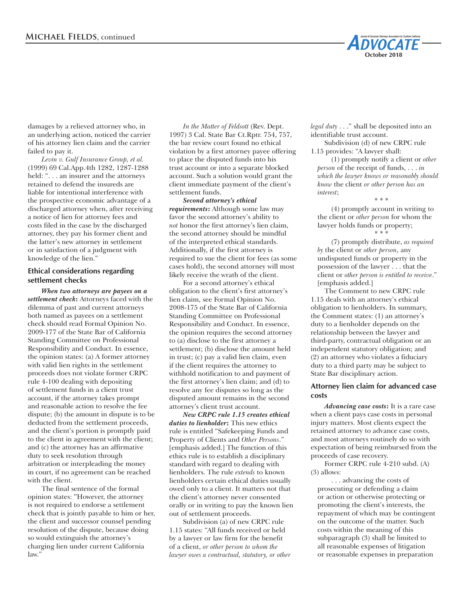

damages by a relieved attorney who, in an underlying action, noticed the carrier of his attorney lien claim and the carrier failed to pay it.

*Levin v. Gulf Insurance Group, et al.*  (1999) 69 Cal.App.4th 1282, 1287-1288 held: ". . . an insurer and the attorneys retained to defend the insureds are liable for intentional interference with the prospective economic advantage of a discharged attorney when, after receiving a notice of lien for attorney fees and costs filed in the case by the discharged attorney, they pay his former client and the latter's new attorney in settlement or in satisfaction of a judgment with knowledge of the lien."

# **Ethical considerations regarding settlement checks**

*When two attorneys are payees on a settlement check***:** Attorneys faced with the dilemma of past and current attorneys both named as payees on a settlement check should read Formal Opinion No. 2009-177 of the State Bar of California Standing Committee on Professional Responsibility and Conduct. In essence, the opinion states: (a) A former attorney with valid lien rights in the settlement proceeds does not violate former CRPC rule 4-100 dealing with depositing of settlement funds in a client trust account, if the attorney takes prompt and reasonable action to resolve the fee dispute; (b) the amount in dispute is to be deducted from the settlement proceeds, and the client's portion is promptly paid to the client in agreement with the client; and (c) the attorney has an affirmative duty to seek resolution through arbitration or interpleading the money in court, if no agreement can be reached with the client.

The final sentence of the formal opinion states: "However, the attorney is not required to endorse a settlement check that is jointly payable to him or her, the client and successor counsel pending resolution of the dispute, because doing so would extinguish the attorney's charging lien under current California law."

*In the Matter of Feldsott* (Rev. Dept. 1997) 3 Cal. State Bar Ct.Rptr. 754, 757, the bar review court found no ethical violation by a first attorney payee offering to place the disputed funds into his trust account or into a separate blocked account. Such a solution would grant the client immediate payment of the client's settlement funds.

*Second attorney's ethical requirements***:** Although some law may favor the second attorney's ability to *not* honor the first attorney's lien claim, the second attorney should be mindful of the interpreted ethical standards. Additionally, if the first attorney is required to sue the client for fees (as some cases hold), the second attorney will most likely receive the wrath of the client.

For a second attorney's ethical obligation to the client's first attorney's lien claim, see Formal Opinion No. 2008-175 of the State Bar of California Standing Committee on Professional Responsibility and Conduct. In essence, the opinion requires the second attorney to (a) disclose to the first attorney a settlement; (b) disclose the amount held in trust; (c) pay a valid lien claim, even if the client requires the attorney to withhold notification to and payment of the first attorney's lien claim; and (d) to resolve any fee disputes so long as the disputed amount remains in the second attorney's client trust account.

*New CRPC rule 1.15 creates ethical duties to lienholder***:** This new ethics rule is entitled "Safekeeping Funds and Property of Clients and *Other Persons*." [emphasis added.] The function of this ethics rule is to establish a disciplinary standard with regard to dealing with lienholders. The rule *extends* to known lienholders certain ethical duties usually owed only to a client. It matters not that the client's attorney never consented orally or in writing to pay the known lien out of settlement proceeds.

Subdivision (a) of new CRPC rule 1.15 states: "All funds received or held by a lawyer or law firm for the benefit of a client, *or other person to whom the lawyer owes a contractual, statutory, or other*  *legal duty* . . ." shall be deposited into an identifiable trust account.

Subdivision (d) of new CRPC rule 1.15 provides: "A lawyer shall:

(1) promptly notify a client or *other person* of the receipt of funds, . . . *in which the lawyer knows or reasonably should know* the client *or other person has an interest*;

\* \* \*

(4) promptly account in writing to the client or *other person* for whom the lawyer holds funds or property; \* \* \*

(7) promptly distribute, *as required by* the client or *other person*, any undisputed funds or property in the possession of the lawyer . . . that the client or *other person is entitled to receive*." [emphasis added.]

The Comment to new CRPC rule 1.15 deals with an attorney's ethical obligation to lienholders. In summary, the Comment states: (1) an attorney's duty to a lienholder depends on the relationship between the lawyer and third-party, contractual obligation or an independent statutory obligation; and (2) an attorney who violates a fiduciary duty to a third party may be subject to State Bar disciplinary action.

# **Attorney lien claim for advanced case costs**

*Advancing case costs***:** It is a rare case when a client pays case costs in personal injury matters. Most clients expect the retained attorney to advance case costs, and most attorneys routinely do so with expectation of being reimbursed from the proceeds of case recovery.

Former CRPC rule 4-210 subd. (A) (3) allows:

. . . advancing the costs of prosecuting or defending a claim or action or otherwise protecting or promoting the client's interests, the repayment of which may be contingent on the outcome of the matter. Such costs within the meaning of this subparagraph (3) shall be limited to all reasonable expenses of litigation or reasonable expenses in preparation